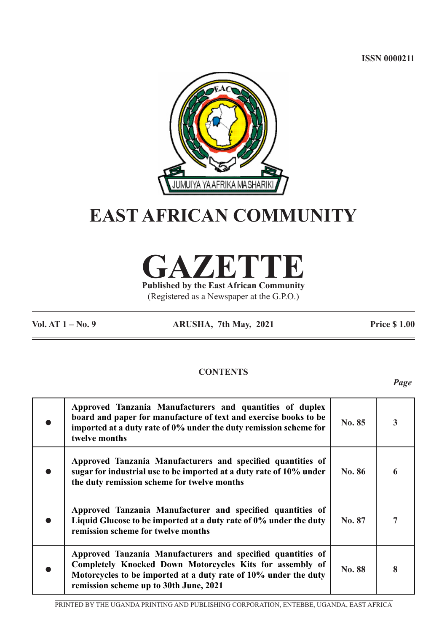**ISSN 0000211**



# **EAST AFRICAN COMMUNITY**

**GAZETTE**

**Published by the East African Community** (Registered as a Newspaper at the G.P.O.)

**Vol. AT 1 – No. 9 ARUSHA, 7th May, 2021 Price \$ 1.00**

# **CONTENTS**

*Page*

| Approved Tanzania Manufacturers and quantities of duplex<br>board and paper for manufacture of text and exercise books to be<br>imported at a duty rate of 0% under the duty remission scheme for<br>twelve months                   | No. 85        | 3 |
|--------------------------------------------------------------------------------------------------------------------------------------------------------------------------------------------------------------------------------------|---------------|---|
| Approved Tanzania Manufacturers and specified quantities of<br>sugar for industrial use to be imported at a duty rate of 10% under<br>the duty remission scheme for twelve months                                                    | <b>No. 86</b> | 6 |
| Approved Tanzania Manufacturer and specified quantities of<br>Liquid Glucose to be imported at a duty rate of 0% under the duty<br>remission scheme for twelve months                                                                | No. 87        | 7 |
| Approved Tanzania Manufacturers and specified quantities of<br>Completely Knocked Down Motorcycles Kits for assembly of<br>Motorcycles to be imported at a duty rate of 10% under the duty<br>remission scheme up to 30th June, 2021 | No. 88        | 8 |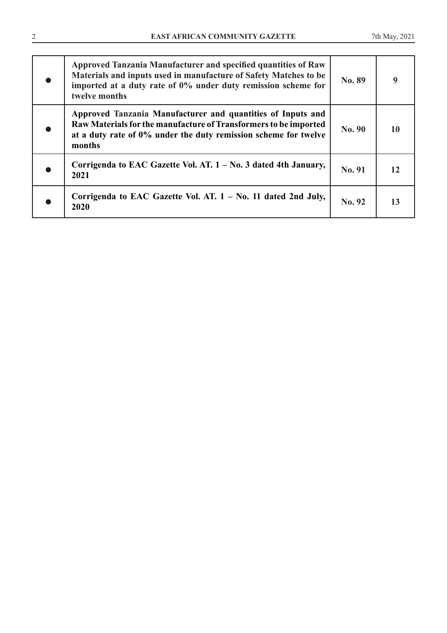| Approved Tanzania Manufacturer and specified quantities of Raw<br>Materials and inputs used in manufacture of Safety Matches to be<br>imported at a duty rate of 0% under duty remission scheme for<br>twelve months | No. 89 | 9  |
|----------------------------------------------------------------------------------------------------------------------------------------------------------------------------------------------------------------------|--------|----|
| Approved Tanzania Manufacturer and quantities of Inputs and<br>Raw Materials for the manufacture of Transformers to be imported<br>at a duty rate of 0% under the duty remission scheme for twelve<br>months         | No. 90 | 10 |
| Corrigenda to EAC Gazette Vol. AT. 1 – No. 3 dated 4th January,<br>2021                                                                                                                                              | No. 91 | 12 |
| Corrigenda to EAC Gazette Vol. AT. $1 - No.$ 11 dated 2nd July,<br>2020                                                                                                                                              | No. 92 | 13 |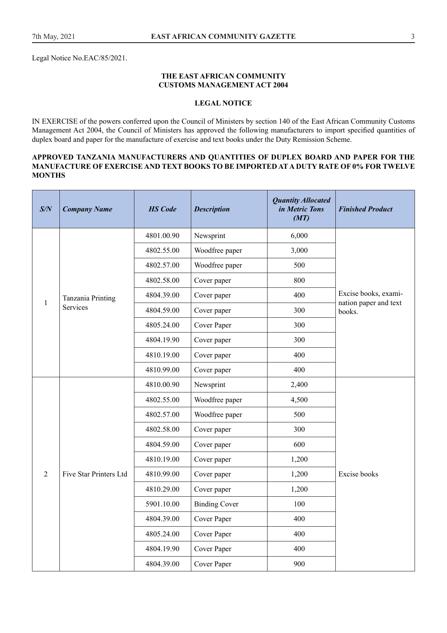Legal Notice No.EAC/85/2021.

#### **THE EAST AFRICAN COMMUNITY CUSTOMS MANAGEMENT ACT 2004**

# **LEGAL NOTICE**

IN EXERCISE of the powers conferred upon the Council of Ministers by section 140 of the East African Community Customs Management Act 2004, the Council of Ministers has approved the following manufacturers to import specified quantities of duplex board and paper for the manufacture of exercise and text books under the Duty Remission Scheme.

#### **APPROVED TANZANIA MANUFACTURERS AND QUANTITIES OF DUPLEX BOARD AND PAPER FOR THE MANUFACTURE OF EXERCISE AND TEXT BOOKS TO BE IMPORTED AT A DUTY RATE OF 0% FOR TWELVE MONTHS**

| S/N | <b>Company Name</b>    | <b>HS</b> Code | <b>Description</b>   | <b>Quantity Allocated</b><br>in Metric Tons<br>(MT) | <b>Finished Product</b>                                                 |  |  |
|-----|------------------------|----------------|----------------------|-----------------------------------------------------|-------------------------------------------------------------------------|--|--|
|     |                        | 4801.00.90     | Newsprint            | 6,000                                               |                                                                         |  |  |
|     |                        | 4802.55.00     | Woodfree paper       | 3,000                                               |                                                                         |  |  |
|     |                        | 4802.57.00     | Woodfree paper       | 500                                                 | Excise books, exami-<br>nation paper and text<br>books.<br>Excise books |  |  |
|     |                        | 4802.58.00     | Cover paper          | 800                                                 |                                                                         |  |  |
|     | Tanzania Printing      | 4804.39.00     | Cover paper          | 400                                                 |                                                                         |  |  |
| 1   | <b>Services</b>        | 4804.59.00     | Cover paper          | 300                                                 |                                                                         |  |  |
|     |                        | 4805.24.00     | Cover Paper          | 300                                                 |                                                                         |  |  |
|     |                        | 4804.19.90     | Cover paper          | 300                                                 |                                                                         |  |  |
|     |                        | 4810.19.00     | Cover paper          | 400                                                 |                                                                         |  |  |
|     |                        | 4810.99.00     | Cover paper          | 400                                                 |                                                                         |  |  |
|     |                        | 4810.00.90     | Newsprint            | 2,400                                               |                                                                         |  |  |
|     |                        | 4802.55.00     | Woodfree paper       | 4,500                                               |                                                                         |  |  |
|     |                        | 4802.57.00     | Woodfree paper       | 500                                                 |                                                                         |  |  |
|     |                        | 4802.58.00     | Cover paper          | 300                                                 |                                                                         |  |  |
|     |                        | 4804.59.00     | Cover paper          | 600                                                 |                                                                         |  |  |
|     |                        | 4810.19.00     | Cover paper          | 1,200                                               |                                                                         |  |  |
| 2   | Five Star Printers Ltd | 4810.99.00     | Cover paper          | 1,200                                               |                                                                         |  |  |
|     |                        | 4810.29.00     | Cover paper          | 1,200                                               |                                                                         |  |  |
|     |                        | 5901.10.00     | <b>Binding Cover</b> | 100                                                 |                                                                         |  |  |
|     |                        | 4804.39.00     | Cover Paper          | 400                                                 |                                                                         |  |  |
|     |                        | 4805.24.00     | Cover Paper          | 400                                                 |                                                                         |  |  |
|     |                        | 4804.19.90     | Cover Paper          | 400                                                 |                                                                         |  |  |
|     |                        | 4804.39.00     | Cover Paper          | 900                                                 |                                                                         |  |  |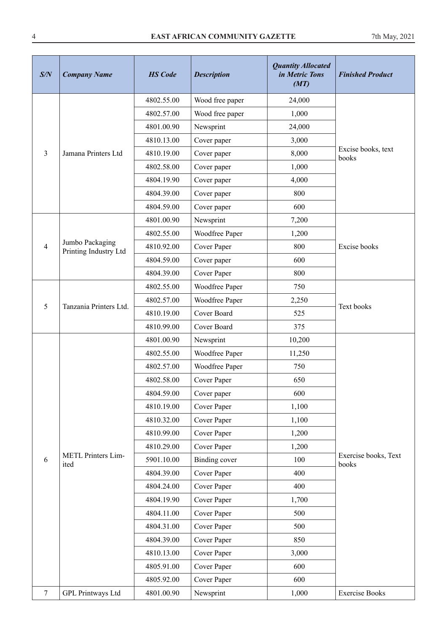# 4 **EAST AFRICAN COMMUNITY GAZETTE** 7th May, 2021

| S/N            | <b>Company Name</b>                      | <b>HS</b> Code | <b>Description</b> | <b>Quantity Allocated</b><br>in Metric Tons<br>(MT) | <b>Finished Product</b>       |
|----------------|------------------------------------------|----------------|--------------------|-----------------------------------------------------|-------------------------------|
|                |                                          | 4802.55.00     | Wood free paper    | 24,000                                              |                               |
|                |                                          | 4802.57.00     | Wood free paper    | 1,000                                               |                               |
|                |                                          | 4801.00.90     | Newsprint          | 24,000                                              |                               |
|                |                                          | 4810.13.00     | Cover paper        | 3,000                                               |                               |
| 3              | Jamana Printers Ltd                      | 4810.19.00     | Cover paper        | 8,000                                               | Excise books, text<br>books   |
|                |                                          | 4802.58.00     | Cover paper        | 1,000                                               |                               |
|                |                                          | 4804.19.90     | Cover paper        | 4,000                                               |                               |
|                |                                          | 4804.39.00     | Cover paper        | 800                                                 |                               |
|                |                                          | 4804.59.00     | Cover paper        | 600                                                 |                               |
|                |                                          | 4801.00.90     | Newsprint          | 7,200                                               |                               |
|                |                                          | 4802.55.00     | Woodfree Paper     | 1,200                                               |                               |
| $\overline{4}$ | Jumbo Packaging<br>Printing Industry Ltd | 4810.92.00     | Cover Paper        | 800                                                 | Excise books                  |
|                |                                          | 4804.59.00     | Cover paper        | 600                                                 |                               |
|                |                                          | 4804.39.00     | Cover Paper        | 800                                                 |                               |
|                |                                          | 4802.55.00     | Woodfree Paper     | 750                                                 |                               |
|                | Tanzania Printers Ltd.                   | 4802.57.00     | Woodfree Paper     | 2,250                                               |                               |
| 5              |                                          | 4810.19.00     | Cover Board        | 525                                                 | Text books                    |
|                |                                          | 4810.99.00     | Cover Board        | 375                                                 |                               |
|                |                                          | 4801.00.90     | Newsprint          | 10,200                                              |                               |
|                |                                          | 4802.55.00     | Woodfree Paper     | 11,250                                              |                               |
|                |                                          | 4802.57.00     | Woodfree Paper     | 750                                                 |                               |
|                |                                          | 4802.58.00     | Cover Paper        | 650                                                 |                               |
|                |                                          | 4804.59.00     | Cover paper        | 600                                                 |                               |
|                |                                          | 4810.19.00     | Cover Paper        | 1,100                                               |                               |
|                |                                          | 4810.32.00     | Cover Paper        | 1,100                                               |                               |
|                |                                          | 4810.99.00     | Cover Paper        | 1,200                                               |                               |
|                |                                          | 4810.29.00     | Cover Paper        | 1,200                                               |                               |
| 6              | <b>METL Printers Lim-</b><br>ited        | 5901.10.00     | Binding cover      | 100                                                 | Exercise books, Text<br>books |
|                |                                          | 4804.39.00     | Cover Paper        | 400                                                 |                               |
|                |                                          | 4804.24.00     | Cover Paper        | 400                                                 |                               |
|                |                                          | 4804.19.90     | Cover Paper        | 1,700                                               |                               |
|                |                                          | 4804.11.00     | Cover Paper        | 500                                                 |                               |
|                |                                          | 4804.31.00     | Cover Paper        | 500                                                 |                               |
|                |                                          | 4804.39.00     | Cover Paper        | 850                                                 |                               |
|                |                                          | 4810.13.00     | Cover Paper        | 3,000                                               |                               |
|                |                                          | 4805.91.00     | Cover Paper        | 600                                                 |                               |
|                |                                          | 4805.92.00     | Cover Paper        | 600                                                 |                               |
| $\tau$         | <b>GPL Printways Ltd</b>                 | 4801.00.90     | Newsprint          | 1,000                                               | <b>Exercise Books</b>         |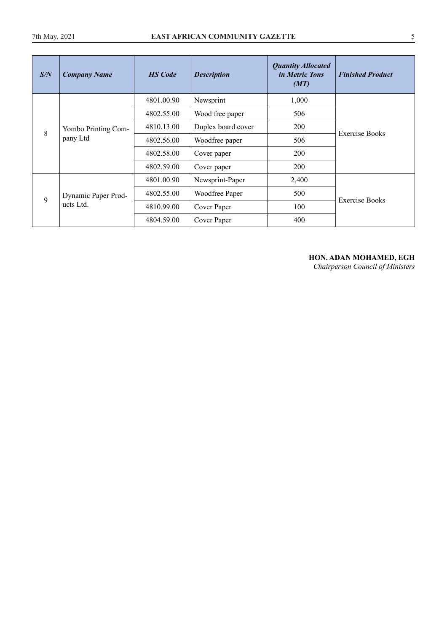| S/N | <b>Company Name</b> | <b>HS</b> Code | <b>Description</b> | <b>Quantity Allocated</b><br><i>in Metric Tons</i><br>(MT) | <b>Finished Product</b> |
|-----|---------------------|----------------|--------------------|------------------------------------------------------------|-------------------------|
|     |                     | 4801.00.90     | Newsprint          | 1,000                                                      |                         |
|     |                     | 4802.55.00     | Wood free paper    | 506                                                        |                         |
| 8   | Yombo Printing Com- | 4810.13.00     | Duplex board cover | 200                                                        | Exercise Books          |
|     | pany Ltd            | 4802.56.00     | Woodfree paper     | 506                                                        |                         |
|     |                     | 4802.58.00     | Cover paper        | 200                                                        | <b>Exercise Books</b>   |
|     |                     | 4802.59.00     | Cover paper        | 200                                                        |                         |
|     |                     | 4801.00.90     | Newsprint-Paper    | 2,400                                                      |                         |
| 9   | Dynamic Paper Prod- | 4802.55.00     | Woodfree Paper     | 500                                                        |                         |
|     | ucts Ltd.           | 4810.99.00     | Cover Paper        | 100                                                        |                         |
|     |                     | 4804.59.00     | Cover Paper        | 400                                                        |                         |

# **HON. ADAN MOHAMED, EGH**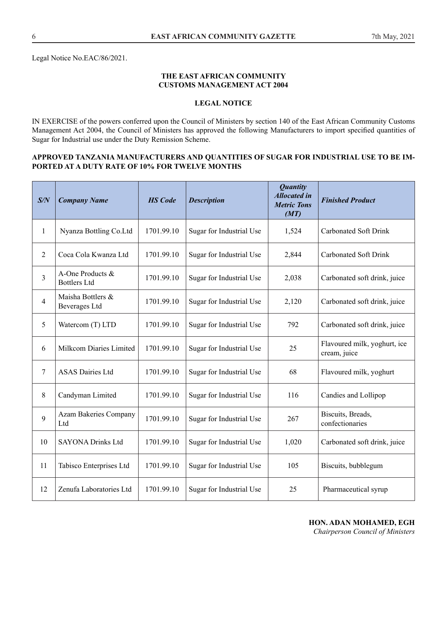Legal Notice No.EAC/86/2021.

#### **THE EAST AFRICAN COMMUNITY CUSTOMS MANAGEMENT ACT 2004**

# **LEGAL NOTICE**

IN EXERCISE of the powers conferred upon the Council of Ministers by section 140 of the East African Community Customs Management Act 2004, the Council of Ministers has approved the following Manufacturers to import specified quantities of Sugar for Industrial use under the Duty Remission Scheme.

#### **APPROVED TANZANIA MANUFACTURERS AND QUANTITIES OF SUGAR FOR INDUSTRIAL USE TO BE IM-PORTED AT A DUTY RATE OF 10% FOR TWELVE MONTHS**

| S/N | <b>Company Name</b>                     | <b>HS</b> Code | <b>Description</b>       | <b>Quantity</b><br><b>Allocated in</b><br><b>Metric Tons</b><br>(MT) | <b>Finished Product</b>                      |
|-----|-----------------------------------------|----------------|--------------------------|----------------------------------------------------------------------|----------------------------------------------|
| 1   | Nyanza Bottling Co.Ltd                  | 1701.99.10     | Sugar for Industrial Use | 1,524                                                                | <b>Carbonated Soft Drink</b>                 |
| 2   | Coca Cola Kwanza Ltd                    | 1701.99.10     | Sugar for Industrial Use | 2,844                                                                | <b>Carbonated Soft Drink</b>                 |
| 3   | A-One Products &<br><b>Bottlers Ltd</b> | 1701.99.10     | Sugar for Industrial Use | 2,038                                                                | Carbonated soft drink, juice                 |
| 4   | Maisha Bottlers &<br>Beverages Ltd      | 1701.99.10     | Sugar for Industrial Use | 2,120                                                                | Carbonated soft drink, juice                 |
| 5   | Watercom (T) LTD                        | 1701.99.10     | Sugar for Industrial Use | 792                                                                  | Carbonated soft drink, juice                 |
| 6   | Milkcom Diaries Limited                 | 1701.99.10     | Sugar for Industrial Use | 25                                                                   | Flavoured milk, yoghurt, ice<br>cream, juice |
| 7   | <b>ASAS Dairies Ltd</b>                 | 1701.99.10     | Sugar for Industrial Use | 68                                                                   | Flavoured milk, yoghurt                      |
| 8   | Candyman Limited                        | 1701.99.10     | Sugar for Industrial Use | 116                                                                  | Candies and Lollipop                         |
| 9   | Azam Bakeries Company<br>Ltd            | 1701.99.10     | Sugar for Industrial Use | 267                                                                  | Biscuits, Breads,<br>confectionaries         |
| 10  | <b>SAYONA Drinks Ltd</b>                | 1701.99.10     | Sugar for Industrial Use | 1,020                                                                | Carbonated soft drink, juice                 |
| 11  | Tabisco Enterprises Ltd                 | 1701.99.10     | Sugar for Industrial Use | 105                                                                  | Biscuits, bubblegum                          |
| 12  | Zenufa Laboratories Ltd                 | 1701.99.10     | Sugar for Industrial Use | 25                                                                   | Pharmaceutical syrup                         |

# **HON. ADAN MOHAMED, EGH**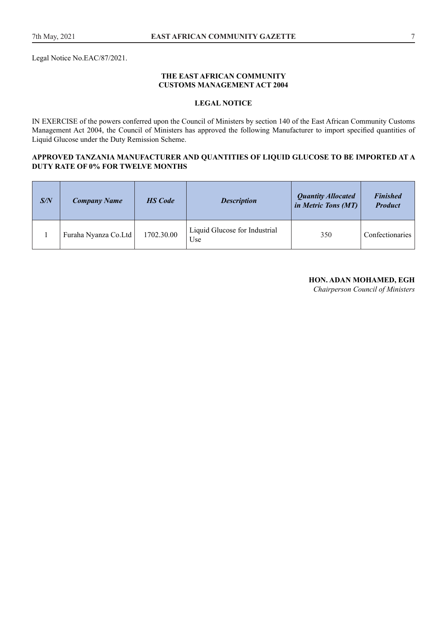Legal Notice No.EAC/87/2021.

#### **THE EAST AFRICAN COMMUNITY CUSTOMS MANAGEMENT ACT 2004**

# **LEGAL NOTICE**

IN EXERCISE of the powers conferred upon the Council of Ministers by section 140 of the East African Community Customs Management Act 2004, the Council of Ministers has approved the following Manufacturer to import specified quantities of Liquid Glucose under the Duty Remission Scheme.

#### **APPROVED TANZANIA MANUFACTURER AND QUANTITIES OF LIQUID GLUCOSE TO BE IMPORTED AT A DUTY RATE OF 0% FOR TWELVE MONTHS**

| S/N | <b>Company Name</b>  | <b>HS</b> Code | <b>Description</b>                   | <b>Quantity Allocated</b><br><i>in Metric Tons (MT)</i> | <b>Finished</b><br><b>Product</b> |
|-----|----------------------|----------------|--------------------------------------|---------------------------------------------------------|-----------------------------------|
|     | Furaha Nyanza Co.Ltd | 1702.30.00     | Liquid Glucose for Industrial<br>Use | 350                                                     | Confectionaries                   |

#### **HON. ADAN MOHAMED, EGH**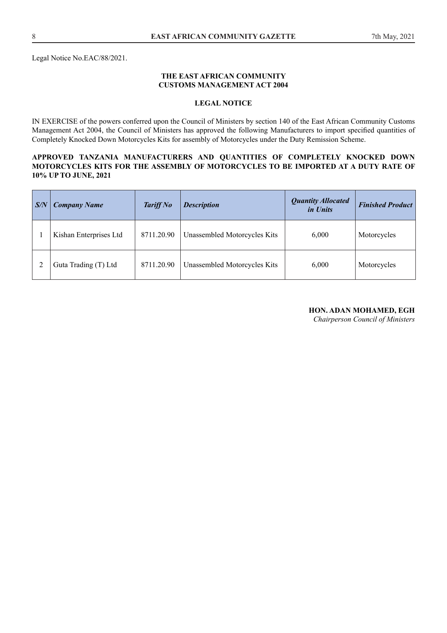Legal Notice No.EAC/88/2021.

#### **THE EAST AFRICAN COMMUNITY CUSTOMS MANAGEMENT ACT 2004**

#### **LEGAL NOTICE**

IN EXERCISE of the powers conferred upon the Council of Ministers by section 140 of the East African Community Customs Management Act 2004, the Council of Ministers has approved the following Manufacturers to import specified quantities of Completely Knocked Down Motorcycles Kits for assembly of Motorcycles under the Duty Remission Scheme.

#### **APPROVED TANZANIA MANUFACTURERS AND QUANTITIES OF COMPLETELY KNOCKED DOWN MOTORCYCLES KITS FOR THE ASSEMBLY OF MOTORCYCLES TO BE IMPORTED AT A DUTY RATE OF 10% UP TO JUNE, 2021**

| $\mid S/N$ | <b>Company Name</b>    | <b>Tariff No</b> | <b>Description</b>           | <b>Quantity Allocated</b><br>in Units | <b>Finished Product</b> |
|------------|------------------------|------------------|------------------------------|---------------------------------------|-------------------------|
|            | Kishan Enterprises Ltd | 8711.20.90       | Unassembled Motorcycles Kits | 6,000                                 | Motorcycles             |
|            | Guta Trading (T) Ltd   | 8711.20.90       | Unassembled Motorcycles Kits | 6,000                                 | Motorcycles             |

#### **HON. ADAN MOHAMED, EGH**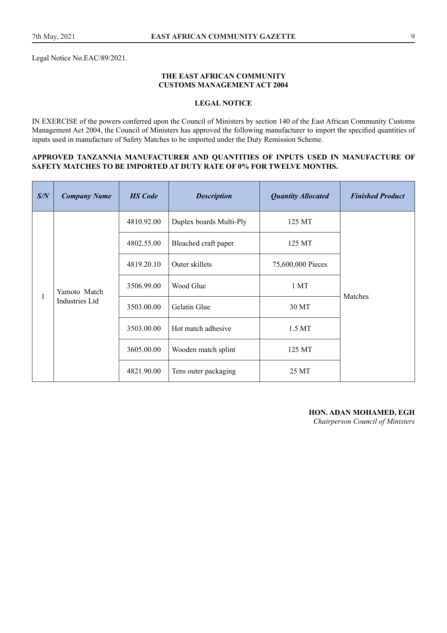Legal Notice No.EAC/89/2021.

#### **THE EAST AFRICAN COMMUNITY CUSTOMS MANAGEMENT ACT 2004**

# **LEGAL NOTICE**

IN EXERCISE of the powers conferred upon the Council of Ministers by section 140 of the East African Community Customs Management Act 2004, the Council of Ministers has approved the following manufacturer to import the specified quantities of inputs used in manufacture of Safety Matches to be imported under the Duty Remission Scheme.

#### **APPROVED TANZANNIA MANUFACTURER AND QUANTITIES OF INPUTS USED IN MANUFACTURE OF SAFETY MATCHES TO BE IMPORTED AT DUTY RATE OF 0% FOR TWELVE MONTHS.**

| S/N | <b>Company Name</b> | <b>HS</b> Code | <b>Description</b>      | <b>Quantity Allocated</b> | <b>Finished Product</b> |
|-----|---------------------|----------------|-------------------------|---------------------------|-------------------------|
|     |                     | 4810.92.00     | Duplex boards Multi-Ply | 125 MT                    |                         |
|     |                     | 4802.55.00     | Bleached craft paper    | 125 MT                    |                         |
|     |                     | 4819.20.10     | Outer skillets          | 75,600,000 Pieces         | Matches                 |
|     | Yamoto Match        | 3506.99.00     | Wood Glue               | 1 <sub>MT</sub>           |                         |
|     | Industries Ltd      | 3503.00.00     | Gelatin Glue            | 30 MT                     |                         |
|     |                     | 3503.00.00     | Hot match adhesive      | 1.5 MT                    |                         |
|     |                     | 3605.00.00     | Wooden match splint     | 125 MT                    |                         |
|     |                     | 4821.90.00     | Tens outer packaging    | 25 MT                     |                         |

**HON. ADAN MOHAMED, EGH**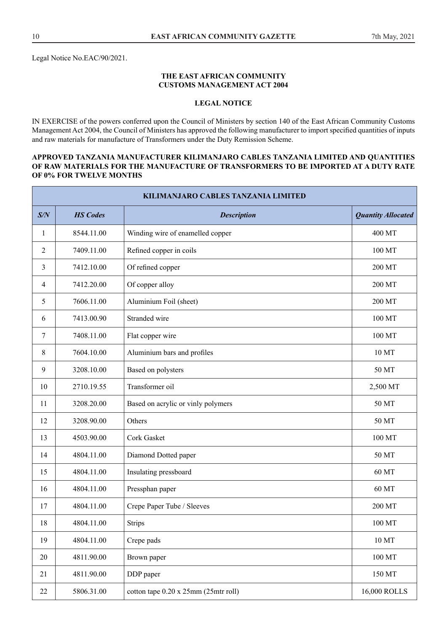Legal Notice No.EAC/90/2021.

#### **THE EAST AFRICAN COMMUNITY CUSTOMS MANAGEMENT ACT 2004**

# **LEGAL NOTICE**

IN EXERCISE of the powers conferred upon the Council of Ministers by section 140 of the East African Community Customs Management Act 2004, the Council of Ministers has approved the following manufacturer to import specified quantities of inputs and raw materials for manufacture of Transformers under the Duty Remission Scheme.

#### **APPROVED TANZANIA MANUFACTURER KILIMANJARO CABLES TANZANIA LIMITED AND QUANTITIES OF RAW MATERIALS FOR THE MANUFACTURE OF TRANSFORMERS TO BE IMPORTED AT A DUTY RATE OF 0% FOR TWELVE MONTHS**

| KILIMANJARO CABLES TANZANIA LIMITED |                 |                                              |                           |  |  |
|-------------------------------------|-----------------|----------------------------------------------|---------------------------|--|--|
| S/N                                 | <b>HS</b> Codes | <b>Description</b>                           | <b>Quantity Allocated</b> |  |  |
| 1                                   | 8544.11.00      | Winding wire of enamelled copper             | 400 MT                    |  |  |
| 2                                   | 7409.11.00      | Refined copper in coils                      | 100 MT                    |  |  |
| 3                                   | 7412.10.00      | Of refined copper                            | 200 MT                    |  |  |
| $\overline{4}$                      | 7412.20.00      | Of copper alloy                              | 200 MT                    |  |  |
| 5                                   | 7606.11.00      | Aluminium Foil (sheet)                       | 200 MT                    |  |  |
| 6                                   | 7413.00.90      | Stranded wire                                | 100 MT                    |  |  |
| 7                                   | 7408.11.00      | Flat copper wire                             | 100 MT                    |  |  |
| 8                                   | 7604.10.00      | Aluminium bars and profiles                  | 10 MT                     |  |  |
| 9                                   | 3208.10.00      | Based on polysters                           | 50 MT                     |  |  |
| 10                                  | 2710.19.55      | Transformer oil                              | 2,500 MT                  |  |  |
| 11                                  | 3208.20.00      | Based on acrylic or vinly polymers           | 50 MT                     |  |  |
| 12                                  | 3208.90.00      | Others                                       | 50 MT                     |  |  |
| 13                                  | 4503.90.00      | <b>Cork Gasket</b>                           | 100 MT                    |  |  |
| 14                                  | 4804.11.00      | Diamond Dotted paper                         | 50 MT                     |  |  |
| 15                                  | 4804.11.00      | Insulating pressboard                        | 60 MT                     |  |  |
| 16                                  | 4804.11.00      | Pressphan paper                              | 60 MT                     |  |  |
| 17                                  | 4804.11.00      | Crepe Paper Tube / Sleeves                   | 200 MT                    |  |  |
| 18                                  | 4804.11.00      | <b>Strips</b>                                | 100 MT                    |  |  |
| 19                                  | 4804.11.00      | Crepe pads                                   | 10 MT                     |  |  |
| 20                                  | 4811.90.00      | Brown paper                                  | 100 MT                    |  |  |
| 21                                  | 4811.90.00      | DDP paper                                    | 150 MT                    |  |  |
| $22\,$                              | 5806.31.00      | cotton tape $0.20 \times 25$ mm (25mtr roll) | 16,000 ROLLS              |  |  |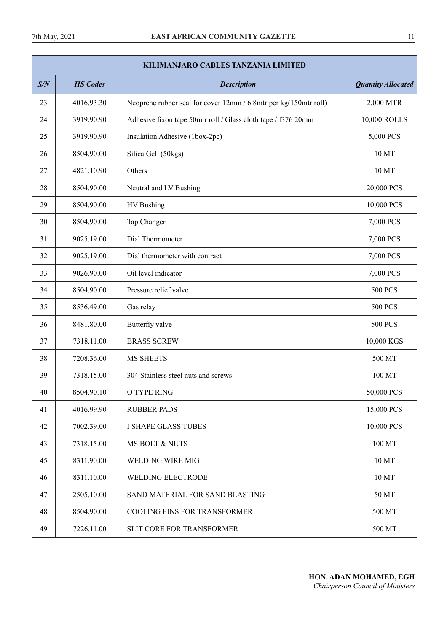| <b>KILIMANJARO CABLES TANZANIA LIMITED</b> |                 |                                                                  |                           |  |  |  |
|--------------------------------------------|-----------------|------------------------------------------------------------------|---------------------------|--|--|--|
| S/N                                        | <b>HS</b> Codes | <b>Description</b>                                               | <b>Quantity Allocated</b> |  |  |  |
| 23                                         | 4016.93.30      | Neoprene rubber seal for cover 12mm / 6.8mtr per kg(150mtr roll) | 2,000 MTR                 |  |  |  |
| 24                                         | 3919.90.90      | Adhesive fixon tape 50mtr roll / Glass cloth tape / f376 20mm    | 10,000 ROLLS              |  |  |  |
| 25                                         | 3919.90.90      | Insulation Adhesive (1box-2pc)                                   | 5,000 PCS                 |  |  |  |
| 26                                         | 8504.90.00      | Silica Gel (50kgs)                                               | 10 MT                     |  |  |  |
| 27                                         | 4821.10.90      | Others                                                           | 10 MT                     |  |  |  |
| 28                                         | 8504.90.00      | Neutral and LV Bushing                                           | 20,000 PCS                |  |  |  |
| 29                                         | 8504.90.00      | HV Bushing                                                       | 10,000 PCS                |  |  |  |
| 30                                         | 8504.90.00      | Tap Changer                                                      | 7,000 PCS                 |  |  |  |
| 31                                         | 9025.19.00      | Dial Thermometer                                                 | 7,000 PCS                 |  |  |  |
| 32                                         | 9025.19.00      | Dial thermometer with contract                                   | 7,000 PCS                 |  |  |  |
| 33                                         | 9026.90.00      | Oil level indicator                                              | 7,000 PCS                 |  |  |  |
| 34                                         | 8504.90.00      | Pressure relief valve                                            | <b>500 PCS</b>            |  |  |  |
| 35                                         | 8536.49.00      | Gas relay                                                        | <b>500 PCS</b>            |  |  |  |
| 36                                         | 8481.80.00      | Butterfly valve                                                  | <b>500 PCS</b>            |  |  |  |
| 37                                         | 7318.11.00      | <b>BRASS SCREW</b>                                               | 10,000 KGS                |  |  |  |
| 38                                         | 7208.36.00      | <b>MS SHEETS</b>                                                 | 500 MT                    |  |  |  |
| 39                                         | 7318.15.00      | 304 Stainless steel nuts and screws                              | 100 MT                    |  |  |  |
| 40                                         | 8504.90.10      | O TYPE RING                                                      | 50,000 PCS                |  |  |  |
| 41                                         | 4016.99.90      | <b>RUBBER PADS</b>                                               | 15,000 PCS                |  |  |  |
| 42                                         | 7002.39.00      | <b>I SHAPE GLASS TUBES</b>                                       | 10,000 PCS                |  |  |  |
| 43                                         | 7318.15.00      | <b>MS BOLT &amp; NUTS</b>                                        | 100 MT                    |  |  |  |
| 45                                         | 8311.90.00      | <b>WELDING WIRE MIG</b>                                          | 10 MT                     |  |  |  |
| 46                                         | 8311.10.00      | <b>WELDING ELECTRODE</b>                                         | 10 MT                     |  |  |  |
| 47                                         | 2505.10.00      | SAND MATERIAL FOR SAND BLASTING                                  | 50 MT                     |  |  |  |
| 48                                         | 8504.90.00      | COOLING FINS FOR TRANSFORMER                                     | 500 MT                    |  |  |  |
| 49                                         | 7226.11.00      | SLIT CORE FOR TRANSFORMER                                        | 500 MT                    |  |  |  |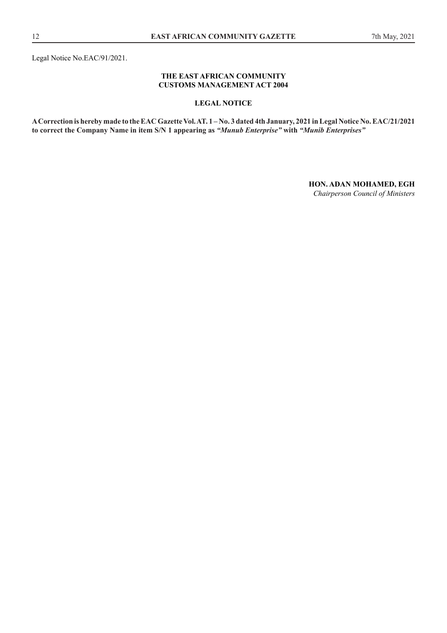Legal Notice No.EAC/91/2021.

#### **THE EAST AFRICAN COMMUNITY CUSTOMS MANAGEMENT ACT 2004**

## **LEGAL NOTICE**

**A Correction is hereby made to the EAC Gazette Vol. AT. 1 – No. 3 dated 4th January, 2021 in Legal Notice No. EAC/21/2021 to correct the Company Name in item S/N 1 appearing as** *"Munub Enterprise"* **with** *"Munib Enterprises"*

**HON. ADAN MOHAMED, EGH**